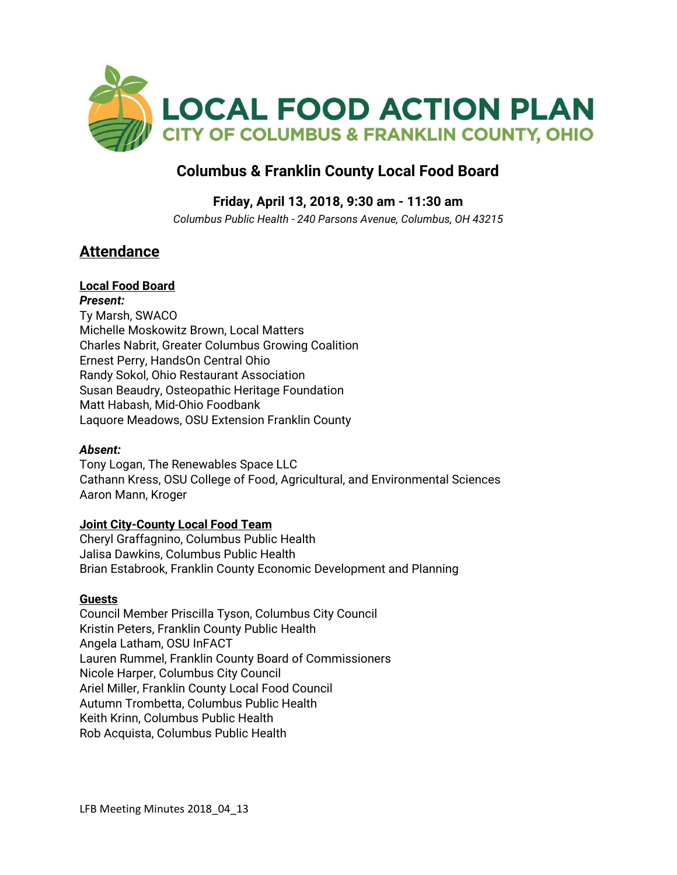

# **Columbus & Franklin County Local Food Board**

### **Friday, April 13, 2018, 9:30 am - 11:30 am**

*Columbus Public Health - 240 Parsons Avenue, Columbus, OH 43215*

# **Attendance**

## **Local Food Board**

*Present:* Ty Marsh, SWACO Michelle Moskowitz Brown, Local Matters Charles Nabrit, Greater Columbus Growing Coalition Ernest Perry, HandsOn Central Ohio Randy Sokol, Ohio Restaurant Association Susan Beaudry, Osteopathic Heritage Foundation Matt Habash, Mid-Ohio Foodbank Laquore Meadows, OSU Extension Franklin County

#### *Absent:*

Tony Logan, The Renewables Space LLC Cathann Kress, OSU College of Food, Agricultural, and Environmental Sciences Aaron Mann, Kroger

#### **Joint City-County Local Food Team**

Cheryl Graffagnino, Columbus Public Health Jalisa Dawkins, Columbus Public Health Brian Estabrook, Franklin County Economic Development and Planning

#### **Guests**

Council Member Priscilla Tyson, Columbus City Council Kristin Peters, Franklin County Public Health Angela Latham, OSU InFACT Lauren Rummel, Franklin County Board of Commissioners Nicole Harper, Columbus City Council Ariel Miller, Franklin County Local Food Council Autumn Trombetta, Columbus Public Health Keith Krinn, Columbus Public Health Rob Acquista, Columbus Public Health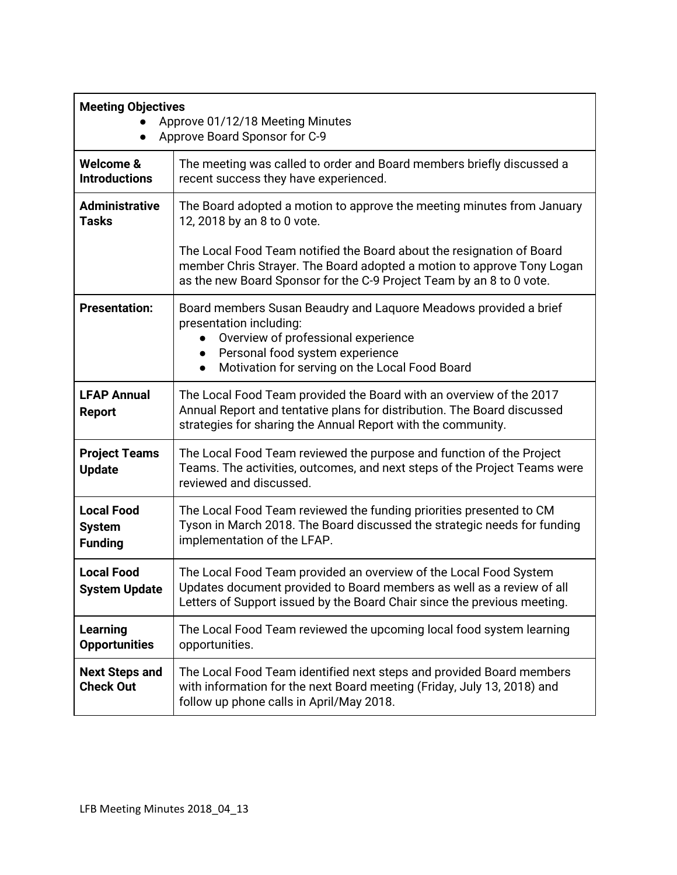| <b>Meeting Objectives</b><br>Approve 01/12/18 Meeting Minutes<br>Approve Board Sponsor for C-9<br>$\bullet$ |                                                                                                                                                                                                                                                   |
|-------------------------------------------------------------------------------------------------------------|---------------------------------------------------------------------------------------------------------------------------------------------------------------------------------------------------------------------------------------------------|
| Welcome &<br><b>Introductions</b>                                                                           | The meeting was called to order and Board members briefly discussed a<br>recent success they have experienced.                                                                                                                                    |
| <b>Administrative</b><br><b>Tasks</b>                                                                       | The Board adopted a motion to approve the meeting minutes from January<br>12, 2018 by an 8 to 0 vote.                                                                                                                                             |
|                                                                                                             | The Local Food Team notified the Board about the resignation of Board<br>member Chris Strayer. The Board adopted a motion to approve Tony Logan<br>as the new Board Sponsor for the C-9 Project Team by an 8 to 0 vote.                           |
| <b>Presentation:</b>                                                                                        | Board members Susan Beaudry and Laquore Meadows provided a brief<br>presentation including:<br>Overview of professional experience<br>Personal food system experience<br>$\bullet$<br>Motivation for serving on the Local Food Board<br>$\bullet$ |
| <b>LFAP Annual</b><br><b>Report</b>                                                                         | The Local Food Team provided the Board with an overview of the 2017<br>Annual Report and tentative plans for distribution. The Board discussed<br>strategies for sharing the Annual Report with the community.                                    |
| <b>Project Teams</b><br><b>Update</b>                                                                       | The Local Food Team reviewed the purpose and function of the Project<br>Teams. The activities, outcomes, and next steps of the Project Teams were<br>reviewed and discussed.                                                                      |
| <b>Local Food</b><br><b>System</b><br><b>Funding</b>                                                        | The Local Food Team reviewed the funding priorities presented to CM<br>Tyson in March 2018. The Board discussed the strategic needs for funding<br>implementation of the LFAP.                                                                    |
| <b>Local Food</b><br><b>System Update</b>                                                                   | The Local Food Team provided an overview of the Local Food System<br>Updates document provided to Board members as well as a review of all<br>Letters of Support issued by the Board Chair since the previous meeting.                            |
| <b>Learning</b><br><b>Opportunities</b>                                                                     | The Local Food Team reviewed the upcoming local food system learning<br>opportunities.                                                                                                                                                            |
| <b>Next Steps and</b><br><b>Check Out</b>                                                                   | The Local Food Team identified next steps and provided Board members<br>with information for the next Board meeting (Friday, July 13, 2018) and<br>follow up phone calls in April/May 2018.                                                       |